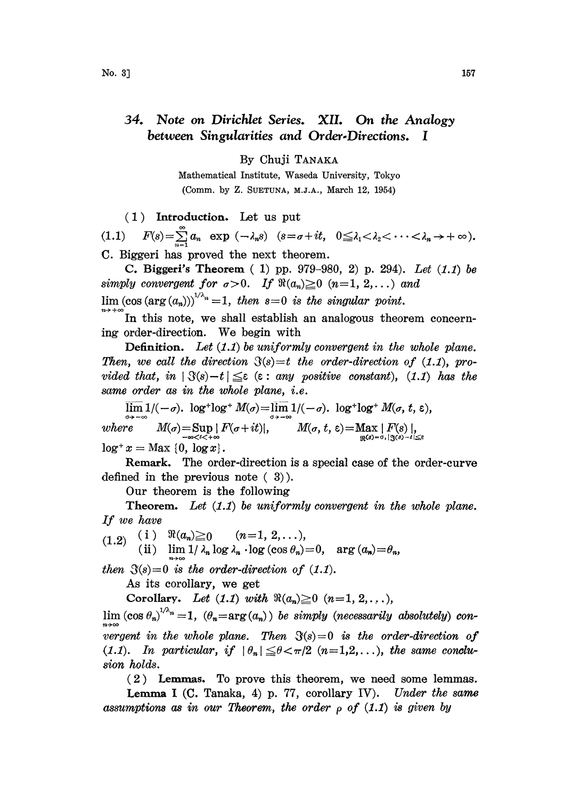## 34. Note on Dirichlet Series. XII. On the Analogy between Singularities and Order.Directions. I

By Chuji TANAKA

Mathematical Institute, Waseda University, Tokyo (Comm. by Z. SUETUNA, M.J.A., March 12, 1954)

(1) Introduction. Let us put

(1.1)  $F(s) = \sum_{n=1}^{\infty} a_n \exp(-\lambda_n s)$   $(s = \sigma + it, 0 \leq \lambda_1 < \lambda_2 < \cdots < \lambda_n \to +\infty).$ C. Biggeri has proved the next theorem.

C. Biggeri's Theorem  $(1)$  pp. 979-980, 2) p. 294). Let  $(1.1)$  be simply convergent for  $\sigma > 0$ . If  $\Re(a_n) \geq 0$   $(n=1, 2, ...)$  and  $\lim (\cos (\arg (a_n)))^{1/\lambda_n} =1$ , then  $s=0$  is the singular point.

In this note, we shall establish an analogous theorem concerning order-direction. We begin with

**Definition.** Let  $(1.1)$  be uniformly convergent in the whole plane. Then, we call the direction  $\mathcal{S}(s)=t$  the order-direction of (1.1), provided that, in  $|\Im(s)-t| \leq \varepsilon$  ( $\varepsilon$ : any positive constant), (1.1) has the same order as in the whole plane, i.e.

 $\lim 1/(-\sigma)$ .  $\log^+ \log^+ M(\sigma) = \lim 1/(-\sigma)$ .  $\log^+ \log^+ M(\sigma, t, \varepsilon)$ ,  $where \t M(\sigma) = \sup_{-\infty < t < +\infty} |F(\sigma+it)|, \t M(\sigma, t, \varepsilon) = \max_{\Re^{(\sigma)}= \sigma, |t|} |F(\sigma+it)|,$  $\log^+ x = \text{Max } \{0, \log x\}.$ 

Remark. The order-direction is a special case of the order-curve defined in the previous note  $(3)$ ).

Our theorem is the following

**Theorem.** Let  $(1.1)$  be uniformly convergent in the whole plane. If we have

 $(1.2)$  (i)  $\Re(a_n) \ge 0$   $(n=1, 2, \ldots),$ (ii)  $\lim_{n \to \infty} 1/\lambda_n \log \lambda_n \cdot \log (\cos \theta_n) = 0$ , arg  $(a_n)$ 

then  $\mathfrak{F}(s)=0$  is the order-direction of (1.1).

As its corollary, we get

Corollary. Let  $(1.1)$  with  $\Re(a_n) \geq 0$   $(n=1, 2, \ldots),$ 

 $\lim_{n \to \infty} (\cos \theta_n)^{1/\lambda_n} = 1$ ,  $(\theta_n = \arg(a_n))$  be simply (necessarily absolutely) conwergent in the whole plane. Then  $\Im(s)=0$  is the order-direction of (1.1). In particular, if  $|\theta_n| \leq \theta < \pi/2$  (n=1,2,...), the same conclusion holds sion holds.

 $(2)$  Lemmas. To prove this theorem, we need some lemmas. **Lemma I** (C. Tanaka, 4) p. 77, corollary IV). Under the same assumptions as in our Theorem, the order  $\rho$  of (1.1) is given by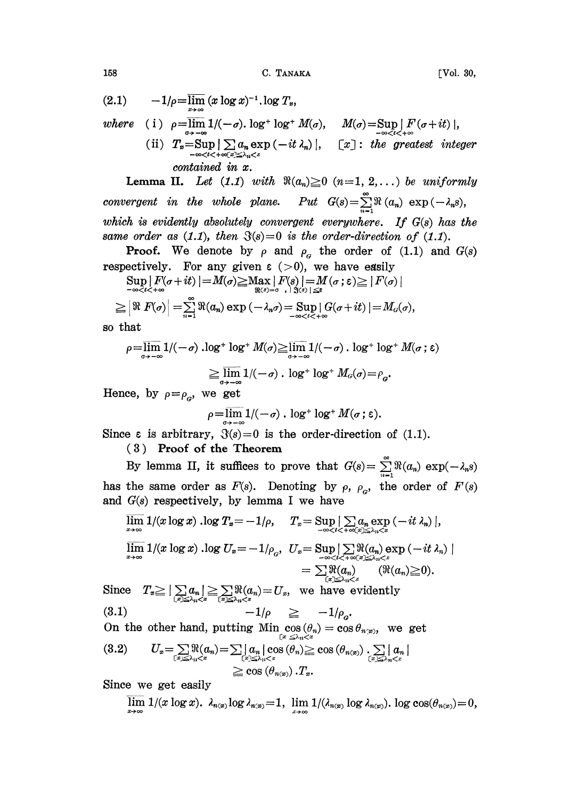158 С. ТАМАКА [Vol. 30,

$$
(2.1) \qquad -1/\rho = \overline{\lim}_{x \to \infty} (x \log x)^{-1} \log T_x,
$$

where (i) 
$$
\rho = \overline{\lim}_{\sigma \to -\infty} 1/(-\sigma)
$$
.  $\log^+ \log^+ M(\sigma)$ ,  $M(\sigma) = \sup_{-\infty < i < +\infty} |F(\sigma + it)|$ ,  
\n(ii)  $T_n = \sup_{-\infty < i < +\infty} |\sum_{\alpha_n} a_n \exp(-it \lambda_n)|$ ,  $[x]$ : the greatest integer contained in x.

Lemma II. Let  $(1.1)$  with  $\Re(a_n) \ge 0$   $(n=1, 2, ...)$  be uniformly convergent in the whole plane. Put  $G(s) = \sum_{n=1}^{\infty} \Re(a_n) \exp(-\lambda_n s)$ , which is evidently absolutely convergent everywhere. If  $G(s)$  has the same order as  $(1.1)$ , then  $\mathfrak{F}(s)=0$  is the order-direction of  $(1.1)$ .

**Proof.** We denote by  $\rho$  and  $\rho_{\alpha}$  the order of (1.1) and  $G(s)$ 

respectively. For any given 
$$
\varepsilon
$$
 (>0), we have easily  
\n
$$
\sup_{-\infty < t < +\infty} |F(\sigma+it)| = M(\sigma) \ge \max_{\Re(\sigma) = \sigma} |F(s)| = M(\sigma; \varepsilon) \ge |F(\sigma)|
$$
\n
$$
\ge |\Re F(\sigma)| = \sum_{n=1}^{\infty} \Re(a_n) \exp(-\lambda_n \sigma) = \sup_{-\infty < t < +\infty} |G(\sigma+it)| = M_G(\sigma),
$$

so that

$$
\rho = \overline{\lim}_{\sigma \to -\infty} 1/(-\sigma) \cdot \log^+ \log^+ M(\sigma) \ge \overline{\lim}_{\sigma \to -\infty} 1/(-\sigma) \cdot \log^+ \log^+ M(\sigma; \epsilon)
$$

$$
\ge \overline{\lim}_{\sigma \to -\infty} 1/(-\sigma) \cdot \log^+ \log^+ M_\sigma(\sigma) = \rho_\sigma.
$$

Hence, by  $\rho = \rho_a$ , we get

$$
\rho = \overline{\lim}_{\sigma \to -\infty} 1/(-\sigma) \quad \text{log}^+ \log^+ M(\sigma; \varepsilon).
$$

Since  $\varepsilon$  is arbitrary,  $\mathfrak{F}(s)=0$  is the order-direction of (1.1).

## ( 3 ) Proof of the Theorem

By lemma II, it suffices to prove that  $G(s) = \sum_{n=1}^{\infty} \Re(a_n) \exp(-\lambda_n s)$ has the same order as  $F(s)$ . Denoting by  $\rho$ ,  $\rho_{\alpha}$ , the order of  $F(s)$ and  $G(s)$  respectively, by lemma I we have

$$
\overline{\lim}_{x \to \infty} 1/(x \log x) \cdot \log T_x = -1/\rho, \quad T_x = \sup_{-\infty < t < +\infty} \sum_{x} a_n \exp(-it \lambda_n) \mid,
$$
\n
$$
\overline{\lim}_{x \to \infty} 1/(x \log x) \cdot \log U_x = -1/\rho_c, \quad U_x = \sup_{-\infty < t < +\infty} \sum_{x} \Re(a_n) \exp(-it \lambda_n) \mid
$$
\n
$$
= \sum_{x} \Re(a_n) \quad (\Re(a_n) \geq 0).
$$
\nSince  $T_x \geq |\sum_{x} a_n| \geq \sum_{x} \Re(a_n) = U_x$ , we have evidently\n(3.1)\n
$$
-1/\rho \geq -1/\rho_c.
$$
\n
$$
\overline{\lim}_{x \to \infty} \sum_{x} \sum_{x} \Re(a_n) = \overline{\lim}_{x} \frac{-1/\rho_c}{\sqrt{2}}.
$$

On the other hand, putting  $\lim_{x \le \lambda_n \le x} \cos(\theta_n) = \cos \theta_{n(x)}$ , we get

$$
(3.2) \qquad U_x = \sum_{\substack{x \in \mathbb{R} \\ x \leq \lambda_n < x}} \Re(a_n) = \sum_{\substack{x \in \mathbb{R} \\ x \leq \lambda_n < x}} a_n \, |\cos(\theta_n) \geq \cos(\theta_{n(x)}) \cdot \sum_{\substack{x \in \mathbb{R} \\ x \leq \lambda_n < x}} a_n \, |\cos(\theta_{n(x)})|
$$

Since we get easily

$$
\overline{\lim}_{x\to\infty} 1/(x \log x).
$$
  $\lambda_{n(x)} \log \lambda_{n(x)} = 1$ ,  $\lim_{x\to\infty} 1/(\lambda_{n(x)} \log \lambda_{n(x)})$ .  $\log \cos(\theta_{n(x)}) = 0$ ,